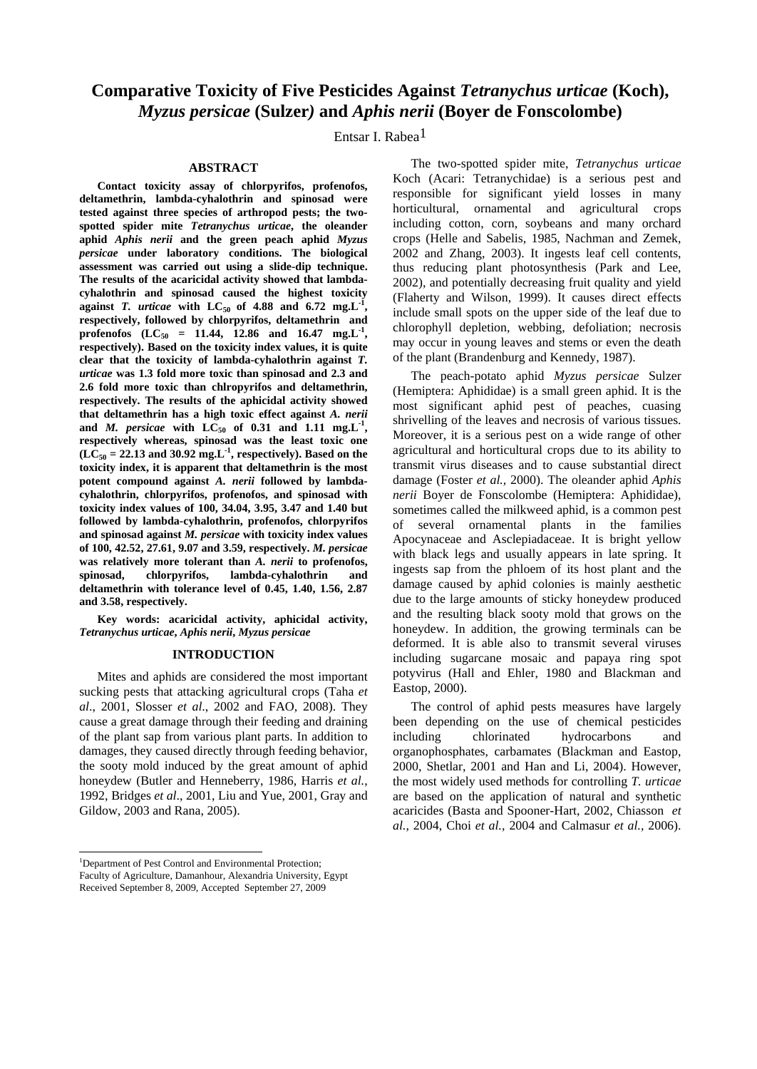# **Comparative Toxicity of Five Pesticides Against** *Tetranychus urticae* **(Koch),**  *Myzus persicae* **(Sulzer***)* **and** *Aphis nerii* **(Boyer de Fonscolombe)**

Entsar I. Rabea $<sup>1</sup>$ </sup>

**Contact toxicity assay of chlorpyrifos, profenofos, deltamethrin, lambda-cyhalothrin and spinosad were tested against three species of arthropod pests; the two spotted spider mite** *Tetranychus urticae***, the oleander aphid** *Aphis nerii* **and the green peach aphid** *Myzus* **The results of the acaricidal activity showed that lambda cyhalothrin and spinosad caused the highest toxicity** against *T. urticae* with  $LC_{50}$  of 4.88 and 6.72 mg.L<sup>-1</sup>, respectively, followed by chlorpyrifos, deltamethrin and profenofos  $(LC_{50} = 11.44, 12.86$  and  $16.47$  mg.L<sup>-1</sup>, respectively). Based on the toxicity index values, it is quite **clear that the toxicity of lambda-cyhalothrin against** *T. urticae* **was 1.3 fold more toxic than spinosad and 2.3 and** The peach-potato aphid *Myzus persicae* Sulzer **2.6 fold more toxic than chlropyrifos and deltamethrin, respectively. The results of the aphicidal activity showed that deltamethrin has a high toxic effect against** *A. nerii* and *M. persicae* with  $LC_{50}$  of 0.31 and 1.11  $mg.L^{-1}$ .  $(LC_{50} = 22.13$  and  $30.92$  mg. L<sup>-1</sup>, respectively). Based on the **toxicity index, it is apparent that deltamethrin is the most followed by lambda-cyhalothrin, profenofos, chlorpyrifos and spinosad against** *M. persicae* **with toxicity index values of 100, 42.52, 27.61, 9.07 and 3.59, respectively.** *M. persicae* **deltamethrin with tolerance level of 0.45, 1.40, 1.56, 2.87**

*Tetranychus urticae***,** *Aphis nerii***,** *Myzus persicae*

Mites and aphids are considered the most important polyvirus (Ha king pests that attacking agricultural crops (Taba  $et$  Eastop, 2000). sucking pests that attacking agricultural crops (Taha *et*  of the plant sap from various plant parts. In addition to

**ABSTRACT** The two-spotted spider mite, *Letranychus urticae persicae* **under laboratory conditions. The biological** 2002 and Zhang, 2003). It ingests leaf cell contents, **assessment was carried out using a slide-dip technique.**  thus reducing plant photosynthesis (Park and Lee, **-1** (Flaherty and Wilson, 1999). It causes direct effects **, respectively, followed by chlorpyrifos, deltamethrin and -1** chlorophyll depletion, webbing, defoliation; necrosis **, respectively). Based on the toxicity index values, it is quite** The two-spotted spider mite, *Tetranychus urticae* Koch (Acari: Tetranychidae) is a serious pest and responsible for significant yield losses in many ornamental and agricultural crops including cotton, corn, soybeans and many orchard crops (Helle and Sabelis, 1985, Nachman and Zemek, 2002), and potentially decreasing fruit quality and yield include small spots on the upper side of the leaf due to may occur in young leaves and stems or even the death of the plant (Brandenburg and Kennedy, 1987).

<sup>11</sup>/<sub>1</sub> shrivelling of the leaves and necrosis of various tissues. and *M. persicae* with  $LC_{50}$  of 0.31 and 1.11 mg. L<sup>-1</sup>, sintiveling of the feaves and necrosis of various ussues.<br> **respectively** whereas, spinosad was the least toxic one Moreover, it is a serious pest on a wide range **, respectively). Based on the** agricultural and horticultural crops due to its ability to **potent compound against** *A. nerii* **followed by lambda-** damage (Foster *et al.,* 2000). The oleander aphid *Aphis*  **cyhalothrin, chlorpyrifos, profenofos, and spinosad with** *nerii* Boyer de Fonscolombe (Hemiptera: Aphididae), **toxicity index values of 100, 34.04, 3.95, 3.47 and 1.40 but** sometimes called the milkweed aphid, is a common pest **was relatively more tolerant than** *A. nerii* **to profenofos, spinosad, chlorpyrifos, lambda-cyhalothrin and and 3.58, respectively.**<br>**Key words: acaricidal activity, aphicidal activity,** and the resulting black sooty mold that grows on the server of the large amounts of sticky honeydew produced **INTRODUCTION** including sugarcane mosaic and papaya ring spot (Hemiptera: Aphididae) is a small green aphid. It is the most significant aphid pest of peaches, cuasing Moreover, it is a serious pest on a wide range of other transmit virus diseases and to cause substantial direct of several ornamental plants in the families Apocynaceae and Asclepiadaceae. It is bright yellow with black legs and usually appears in late spring. It ingests sap from the phloem of its host plant and the damage caused by aphid colonies is mainly aesthetic due to the large amounts of sticky honeydew produced and the resulting black sooty mold that grows on the honeydew. In addition, the growing terminals can be deformed. It is able also to transmit several viruses potyvirus (Hall and Ehler, 1980 and Blackman and Eastop, 2000).

*al*., 2001, Slosser *et al*., 2002 and FAO, 2008). They The control of aphid pests measures have largely cause a great damage through their feeding and draining been depending on the use of chemical pesticides damages, they caused directly through feeding behavior, organophosphates, carbamates (Blackman and Eastop, the sooty mold induced by the great amount of aphid 2000, Shetlar, 2001 and Han and Li, 2004). However, honeydew (Butler and Henneberry, 1986, Harris *et al.,* the most widely used methods for controlling *T. urticae* 1992, Bridges *et al*., 2001, Liu and Yue, 2001, Gray and are based on the application of natural and synthetic Gildow, 2003 and Rana, 2005). **Academic and Spooner-Hart, 2002**, Chiasson *et* **and Spooner-Hart**, 2002, Chiasson *et* including chlorinated hydrocarbons and 2000, Shetlar, 2001 and Han and Li, 2004). However, the most widely used methods for controlling *T. urticae al.,* 2004, Choi *et al.,* 2004 and Calmasur *et al.,* 2006).

<sup>&</sup>lt;sup>1</sup>Department of Pest Control and Environmental Protection; Faculty of Agriculture, Damanhour, Alexandria University, Egypt Received September 8, 2009, Accepted September 27, 2009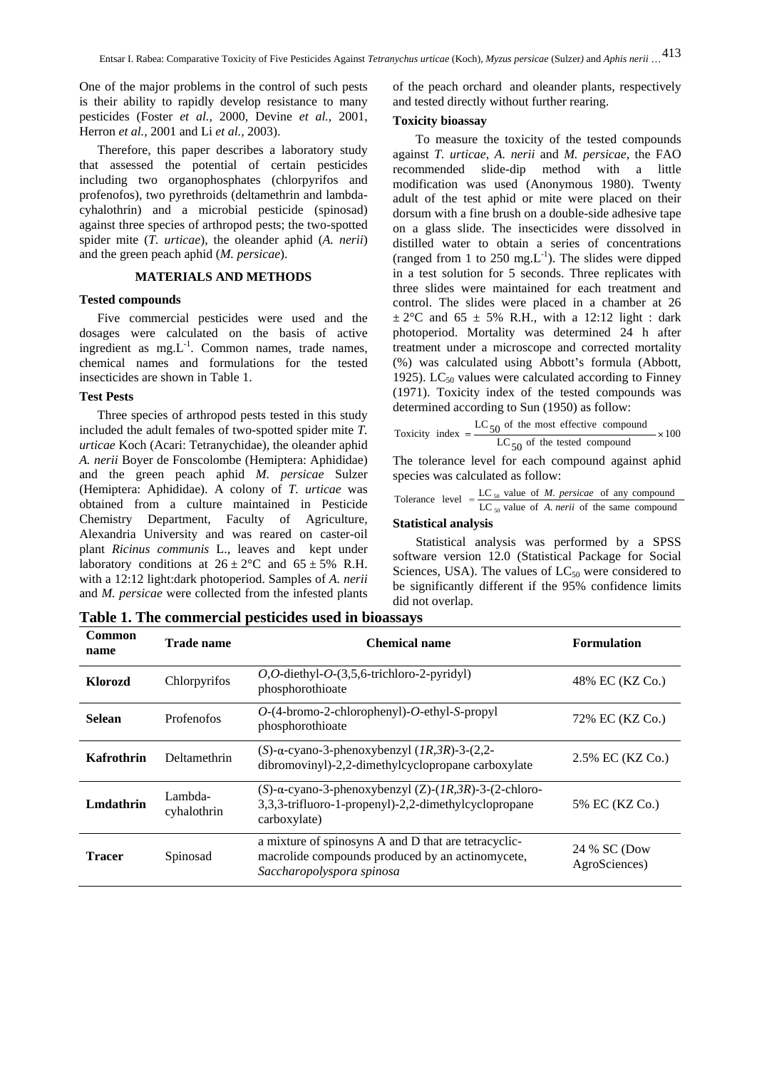One of the major problems in the control of such pests of the peach orchard and oleander plants, respectively is their ability to rapidly develop resistance to many pesticides (Foster *et al.,* 2000, Devine *et al.,* 2001, Herron *et al.,* 2001 and Li *et al.,* 2003).

Therefore, this paper describes a laboratory study that assessed the potential of certain pesticides including two organophosphates (chlorpyrifos and profenofos), two pyrethroids (deltamethrin and lambda cyhalothrin) and a microbial pesticide (spinosad) against three species of arthropod pests; the two-spotted spider mite (*T. urticae*), the oleander aphid (*A. nerii*)

ingredient as  $mg.L^{-1}$ . Common names, trade names, chemical names and formulations for the tested

Three species of arthropod pests tested in this study included the adult females of two-spotted spider mite *T. urticae* Koch (Acari: Tetranychidae), the oleander aphid <sup>LC</sup><sub>50</sub> *A. nerii* Boyer de Fonscolombe (Hemiptera: Aphididae) The tolerance level for each compound against aphid and the green peach aphid *M. persicae* Sulzer (Hemiptera: Aphididae). A colony of *T. urticae* was obtained from a culture maintained in Pesticide Chemistry Department, Faculty of Agriculture, Alexandria University and was reared on caster-oil plant *Ricinus communis* L., leaves and kept under laboratory conditions at  $26 \pm 2^{\circ}\text{C}$  and  $65 \pm 5\%$  R.H.<br>with a 12:12 light:dark photoperiod. Samples of *A. nerii* Sciences, USA). The values of LC<sub>50</sub> were considered to and *M. persicae* were collected from the infested plants

and tested directly without further rearing.

## **Toxicity bioassay**

and the green peach aphid (*M. persicae*). (ranged from 1 to 250 mg.L<sup>-1</sup>). The slides were dipped **MATERIALS AND METHODS** in a test solution for 5 seconds. Three replicates with **Tested compounds CONS CONS CONS CONS CONS CONS CONS CONS CONS CONS CONS CONS CONS CONS CONS CONS CONS CONS CONS CONS CONS CONS CONS CONS CONS CONS CONS CONS CONS** Five commercial pesticides were used and the  $\pm 2^{\circ}$ C and 65  $\pm$  5% R.H., with a 12:12 light : dark dosages were calculated on the basis of active photoperiod. Mortality was determined 24 h after <sup>-1</sup>. Common names, trade names, treatment under a microscope and corrected mortality chemical names and formulations for the tested (%) was calculated using Abbott's formula (Abbott, insecticides are shown in Table 1.  $1925$ . LC<sub>50</sub> values were calculated according to Finney **Test Pests** (1971). Toxicity index of the tested compounds was To measure the toxicity of the tested compounds against *T. urticae*, *A. nerii* and *M. persicae*, the FAO recommended slide-dip method with a little modification was used (Anonymous 1980). Twenty adult of the test aphid or mite were placed on their dorsum with a fine brush on a double-side adhesive tape on a glass slide. The insecticides were dissolved in distilled water to obtain a series of concentrations  $^{-1}$  The clides were dineed ). The slides were dipped three slides were maintained for each treatment and determined according to Sun (1950) as follow:

Toxicity index = 
$$
\frac{LC_{50} \text{ of the most effective compound}}{LC_{50} \text{ of the tested compound}} \times 100
$$

species was calculated as follow:

|                 | value of <i>M. persicae</i> of any compound  |  |
|-----------------|----------------------------------------------|--|
| roierance level | value of A <i>nerii</i> of the same compound |  |

## **Statistical analysis**

Statistical analysis was performed by a SPSS software version 12.0 (Statistical Package for Social Sciences, USA). The values of  $LC_{50}$  were considered to be significantly different if the 95% confidence limits did not overlap.

**Table 1. The commercial pesticides used in bioassays**

| <b>Common</b><br>name              | <b>Trade name</b>       | <b>Chemical name</b>                                                                                                                           | Formulation                   |
|------------------------------------|-------------------------|------------------------------------------------------------------------------------------------------------------------------------------------|-------------------------------|
| Klorozd                            | Chlorpyrifos            | $O, O$ -diethyl- $O$ -(3,5,6-trichloro-2-pyridyl)<br>phosphorothioate                                                                          | 48% EC (KZ Co.)               |
| Selean                             | Profenofos              | O-(4-bromo-2-chlorophenyl)-O-ethyl-S-propyl<br>phosphorothioate                                                                                | 72% EC (KZ Co.)               |
|                                    | Kafrothrin Deltamethrin | (S)- $\alpha$ -cyano-3-phenoxybenzyl ( <i>IR,3R</i> )-3-(2,2-<br>dibromovinyl)-2,2-dimethylcyclopropane carboxylate                            | 2.5% EC (KZ Co.)              |
| <b>L</b> ambda-<br>$L$ avholothrin | cyhalothrin             | (S)- $\alpha$ -cyano-3-phenoxybenzyl (Z)-( <i>IR,3R</i> )-3-(2-chloro-<br>3,3,3-trifluoro-1-propenyl)-2,2-dimethylcyclopropane<br>carboxylate) | 5% EC (KZ Co.)                |
| <b>Tracer</b>                      | Spinosad                | a mixture of spinosyns A and D that are tetracyclic-<br>macrolide compounds produced by an actinomycete,<br>Saccharopolyspora spinosa          | 24 % SC (Dow<br>AgroSciences) |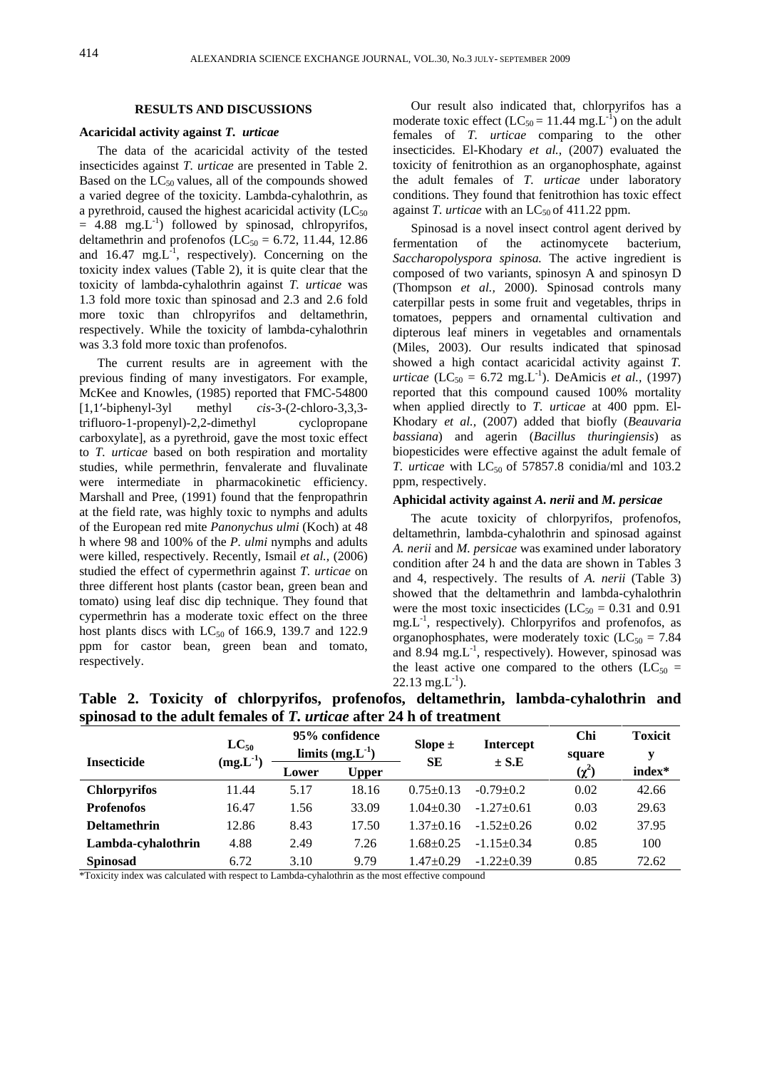insecticides against *T. urticae* are presented in Table 2. toxicity of fenitrothion as an organophosphate, against Based on the LC<sub>50</sub> values, all of the compounds showed the adult females of *T. urticae* under laboratory a varied degree of the toxicity. Lambda-cyhalothrin, as conditions. They found that fenitrothion has toxic effect a pyrethroid, caused the highest acaricidal activity  $(LC_{50})$  $= 4.88$  mg.L<sup>-1</sup>) followed by spinosad, chlropyrifos, ) followed by spinosad, chlropyrifos, Spinosad is a novel insect control agent derived by deltamethrin and profenofos ( $LC_{50} = 6.72$ , 11.44, 12.86 fermentation and 16.47 mg. $L^{-1}$ , respectively). Concerning on the toxicity index values (Table 2), it is quite clear that the toxicity of lambda**-**cyhalothrin against *T. urticae* was 1.3 fold more toxic than spinosad and 2.3 and 2.6 fold more toxic than chlropyrifos and deltamethrin, respectively. While the toxicity of lambda**-**cyhalothrin

McKee and Knowles, (1985) reported that FMC-54800 studies, while permethrin, fenvalerate and fluvalinate were intermediate in pharmacokinetic efficiency. ppm, respectively.<br>Marshall and Pree, (1991) found that the fenpropathrin **Aphicidal activity against A. nerii and M. persicae** at the field rate, was highly toxic to nymphs and adults of the European red mite *Panonychus ulmi* (Koch) at 48 h where 98 and 100% of the *P. ulmi* nymphs and adults were killed, respectively. Recently, Ismail *et al.,* (2006) studied the effect of cypermethrin against *T. urticae* on three different host plants (castor bean, green bean and tomato) using leaf disc dip technique. They found that cypermethrin has a moderate toxic effect on the three host plants discs with  $LC_{50}$  of 166.9, 139.7 and 122.9 ppm for castor bean, green bean and tomato,

**RESULTS AND DISCUSSIONS** Uur result also indicated that, chlorpyritos has a Acaricidal activity against *T. urticae* **Framely** females of *T. urticae* comparing to the other The data of the acaricidal activity of the tested insecticides. El-Khodary *et al.,* (2007) evaluated the Our result also indicated that, chlorpyrifos has a moderate toxic effect ( $LC_{50} = 11.44$  mg. $L^{-1}$ ) on the adult  $-\overline{1}$  on the edult ) on the adult against *T. urticae* with an  $LC_{50}$  of 411.22 ppm.

, respectively). Concerning on the *Saccharopolyspora spinosa.* The active ingredient is was 3.3 fold more toxic than profenofos. (Miles, 2003). Our results indicated that spinosad The current results are in agreement with the showed a high contact acaricidal activity against  $T$ . previous finding of many investigators. For example, *urticae* ( $LC_{50} = 6.72$  mg.L<sup>-1</sup>). DeAmicis *et al.*, (1997) [1,1 -biphenyl-3yl methyl *cis*-3-(2-chloro-3,3,3- when applied directly to *T. urticae* at 400 ppm. El trifluoro-1-propenyl)-2,2-dimethyl cyclopropane Khodary *et al.,* (2007) added that biofly (*Beauvaria*  carboxylate], as a pyrethroid, gave the most toxic effect *bassiana*) and agerin (*Bacillus thuringiensis*) as to *T. urticae* based on both respiration and mortality biopesticides were effective against the adult female of of the actinomycete bacterium, composed of two variants, spinosyn A and spinosyn D (Thompson *et al.,* 2000). Spinosad controls many caterpillar pests in some fruit and vegetables, thrips in tomatoes, peppers and ornamental cultivation and dipterous leaf miners in vegetables and ornamentals (Miles, 2003). Our results indicated that spinosad showed a high contact acaricidal activity against *T.*  reported that this compound caused 100% mortality *T. urticae* with  $LC_{50}$  of 57857.8 conidia/ml and 103.2 ppm, respectively.

## **Aphicidal activity against** *A. nerii* **and** *M. persicae*

respectively.<br>the least active one compared to the others  $(LC_{50} =$ The acute toxicity of chlorpyrifos, profenofos, deltamethrin, lambda-cyhalothrin and spinosad against *A. nerii* and *M. persicae* was examined under laboratory condition after 24 h and the data are shown in Tables 3 and 4, respectively. The results of *A. nerii* (Table 3) showed that the deltamethrin and lambda-cyhalothrin were the most toxic insecticides ( $LC_{50} = 0.31$  and 0.91 mg.L<sup>-1</sup>, respectively). Chlorpyrifos and profenofos, as organophosphates, were moderately toxic  $(LC_{50} = 7.84)$ and 8.94 mg.L<sup>-1</sup>, respectively). However, spinosad was  $22.13 \text{ mg.L}^{-1}$ ). ).

|                                |                  | 95% confidence | Intercept                                      | Chi Toxicit |       |
|--------------------------------|------------------|----------------|------------------------------------------------|-------------|-------|
| <b>Insecticide</b>             |                  |                | $\pm$ S.E                                      |             |       |
|                                | Lower            | Upper          |                                                |             | index |
| <b>Chlorpyrifos</b>            | 11.44 5.17       |                | $0.75 \pm 0.13$ $-0.79 \pm 0.2$ 0.02 42.66     |             |       |
| <b>Profenofos</b>              | 16.47 1.56 33.09 |                | $-1.04 \pm 0.30$ $-1.27 \pm 0.61$ 0.03 29.63   |             |       |
| Deltamethrin                   | 12.86 8.43       | 17,50          | $1.37 \pm 0.16$ $-1.52 \pm 0.26$ 0.02 37.95    |             |       |
| <b>Lambda-cyhalothrin</b> 4.88 |                  |                | 7.26 $1.68 \pm 0.25$ $-1.15 \pm 0.34$ 0.85 100 |             |       |
| Spinosad                       |                  |                |                                                | 0.85 72.62  |       |

**Table 2. Toxicity of chlorpyrifos, profenofos, deltamethrin, lambda-cyhalothrin and spinosad to the adult females of** *T. urticae* **after 24 h of treatment**

\*Toxicity index was calculated with respect to Lambda-cyhalothrin as the most effective compound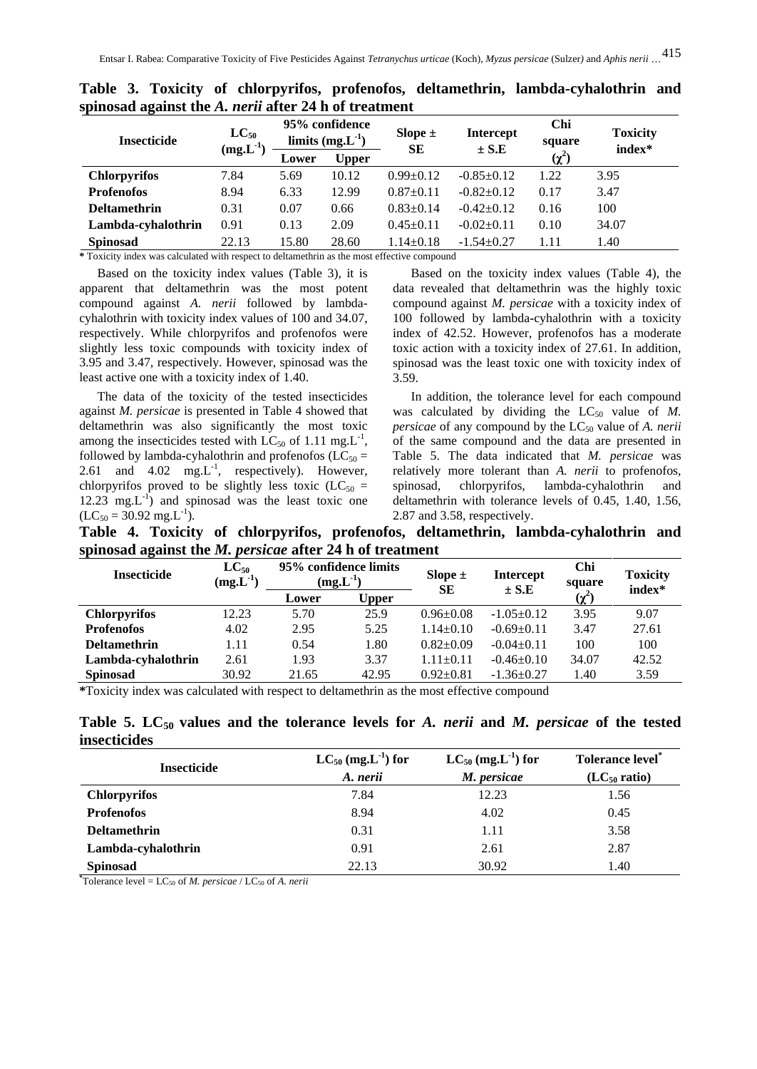| <b>Insecticide</b>                                                             |                                                |                                |
|--------------------------------------------------------------------------------|------------------------------------------------|--------------------------------|
| (Mg.L                                                                          |                                                |                                |
|                                                                                |                                                |                                |
| <b>Chlorpyrifos</b>                                                            | $0.99 \pm 0.12$ $-0.85 \pm 0.12$ $1.22$ $3.95$ |                                |
| Profenofos<br>8.94 6.33 12.99 0.87±0.11 -0.82±0.12 0.17 3.47                   |                                                |                                |
| Deltamethrin<br>$0.31$ $0.07$ $0.66$ $0.83\pm0.14$ $-0.42\pm0.12$ $0.16$ $100$ |                                                |                                |
| 2.09 $0.45\pm0.11$ $-0.02\pm0.11$ $0.10$ 34.07<br>Lambda-cyhalothrin<br>0.13   |                                                |                                |
|                                                                                |                                                | $-1.54 \pm 0.27$ $1.11$ $1.40$ |

**Table 3. Toxicity of chlorpyrifos, profenofos, deltamethrin, lambda-cyhalothrin and spinosad against the** *A. nerii* **after 24 h of treatment**

**\*** Toxicity index was calculated with respect to deltamethrin as the most effective compound

slightly less toxic compounds with toxicity index of toxic action with a toxicity index of 27.61. In addition, 3.95 and 3.47, respectively. However, spinosad was the least active one with a toxicity index of 1.40.

The data of the toxicity of the tested insecticides In addition, the tolerance level for each compound against *M. persicae* is presented in Table 4 showed that was calculated by dividing the LC<sub>50</sub> value of *M*. deltamethrin was also significantly the most toxic *persicae* of any compound by the LC<sub>50</sub> value of *A. nerii* among the insecticides tested with  $LC_{50}$  of 1.11 mg.L<sup>-1</sup>, among the insecticides tested with  $LC_{50}$  of 1.11 mg.L<sup>-1</sup>, of the same compound and the data are presented in followed by lambda-cyhalothrin and profenofos (LC<sub>50</sub> = Table 5. The data indicated that *M. persicae* was 2.61 and 4.02 mg.L<sup>-1</sup>, respectively). However, chlorpyrifos proved to be slightly less toxic  $(LC_{50} =$  spinosad, chlorpyrifos, lambda-cyhalothrin and 12.23 mg.L<sup>-1</sup>) and spinosad was the least toxic one deltamethrin with tolerance levels of 0.45, 1.40, 1.56, 12.23 mg. $L^{-1}$  and spinosad was the least toxic one deltamethrin with tolerance levels of 0.45, 1.40, 1.56,  $(LC_{50} = 30.92 \text{ mg.L}^{-1})$ . 2.87 and 3.58, respectively.

Based on the toxicity index values (Table 3), it is Based on the toxicity index values (Table 4), the apparent that deltamethrin was the most potent data revealed that deltamethrin was thehighly toxic compound against *A. nerii* followed by lambda- compound against *M. persicae* with a toxicity index of cyhalothrin with toxicity index values of 100 and 34.07, and followed by lambda-cyhalothrin with a toxicity respectively. While chlorpyrifos and profenofos were index of 42.52. However, profenofos has a moderate 100 followed by lambda**-**cyhalothrin with a toxicity index of 42.52. However, profenofos has a moderate toxic action with <sup>a</sup> toxicity index of 27.61. In addition, spinosad was the least toxic one with toxicity index of

<sup>-1</sup>, of the same compound and the data are presented in , respectively). However, relatively more tolerant than *A. nerii* to profenofos, cicity index values (Table 3), it is<br> **Based on the toxicity index values (Table 4), the**<br> **A.** *nerii* followed by lambda- compound against *M.* persicae with a toxicity index of<br>
city index values of 100 and 34.07, 100 3.59. In addition, the tolerance level for each compound Table 5. The data indicated that *M. persicae* was spinosad, chlorpyrifos, lambda-cyhalothrin and deltamethrin with tolerance levels of 0.45, 1.40, 1.56, 2.87 and 3.58, respectively.

**Table 4. Toxicity of chlorpyrifos, profenofos, deltamethrin, lambda-cyhalothrin and spinosad against the** *M. persicae* **after 24 h of treatment**

| Insecticide                                                               | $LC_{50}$ 95% confidence limits<br>$(mg.L^{-1})$                 |       |  |  |
|---------------------------------------------------------------------------|------------------------------------------------------------------|-------|--|--|
|                                                                           | Lower                                                            | Upper |  |  |
| <b>Chlorpyrifos</b>                                                       | $12.23$ $5.70$ $25.9$ $0.96\pm0.08$ $-1.05\pm0.12$ $3.95$ $9.07$ |       |  |  |
| <b>Profenofos</b> 4.02 2.95 5.25 1.14±0.10 -0.69±0.11 3.47 27.61          |                                                                  |       |  |  |
| Deltamethrin                                                              | 1.11 0.54 1.80 0.82 $\pm$ 0.09 -0.04 $\pm$ 0.11 100 100          |       |  |  |
| <b>Lambda-cyhalothrin</b> 2.61 1.93 3.37 1.11±0.11 -0.46±0.10 34.07 42.52 |                                                                  |       |  |  |
| <b>Spinosad</b> 30.92 21.65 42.95 0.92±0.81 -1.36±0.27 1.40 3.59          |                                                                  |       |  |  |

**\***Toxicity index was calculated with respect to deltamethrin as the most effective compound

**Table 5. LC50 values and the tolerance levels for** *A. nerii* **and** *M. persicae* **of the tested insecticides**

| <b>Insecticide</b> | $LC_{50}$ (mg.L <sup>-1</sup> ) for | $LC_{50}$ (mg.L <sup>-1</sup> ) for | Tolerance level*  |
|--------------------|-------------------------------------|-------------------------------------|-------------------|
|                    | A. nerii                            | M. persicae                         | $(LC_{50}$ ratio) |
| Chlorpyrifos       | 7.84                                | 12.23                               | 1.56              |
| <b>Profenofos</b>  | 8.94                                | 4.02                                | 0.45              |
| Deltamethrin       |                                     | 1.11                                | 3.58              |
| Lambda-cyhalothrin | 0.91                                | 2.61                                | 2.87              |
| Spinosad           | 22.13                               | 30.92                               | 1.40              |

 $*$ Tolerance level = LC<sub>50</sub> of *M. persicae* / LC<sub>50</sub> of *A. nerii*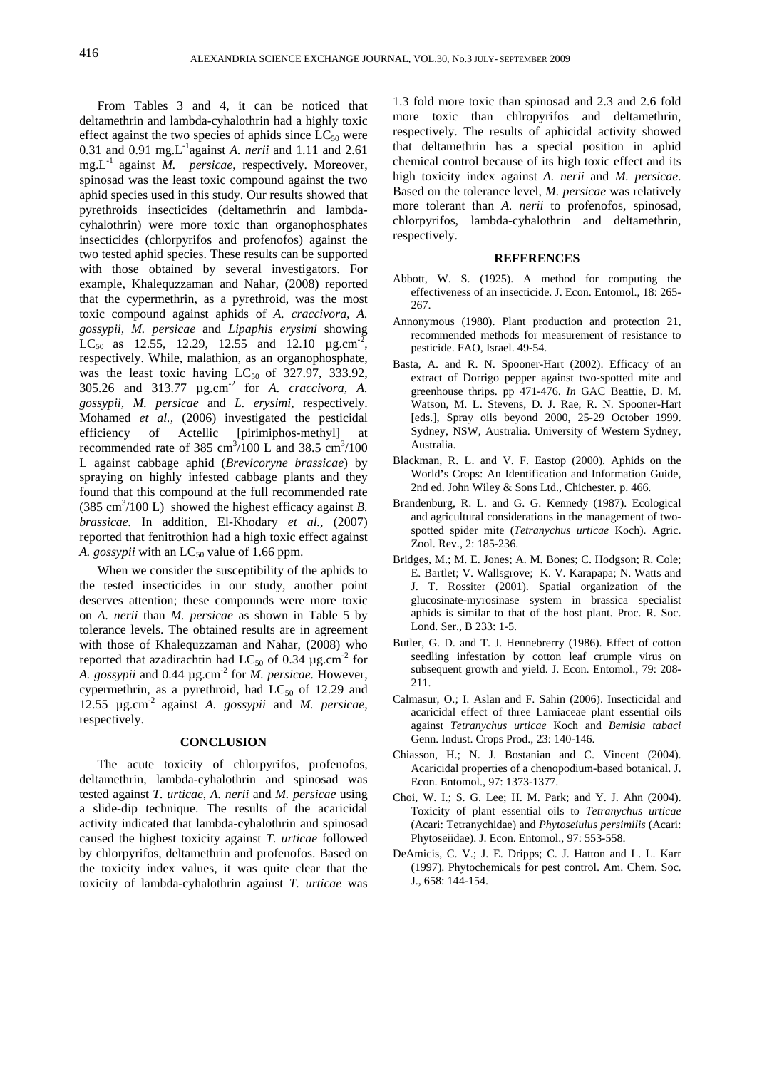From Tables 3 and 4, it can be noticed that deltamethrin and lambda-cyhalothrin had a highly toxic effect against the two species of aphids since  $LC_{50}$  were 0.31 and 0.91 mg.L<sup>-1</sup>against A. nerii and 1.11 and 2.61 mg.L<sup>-1</sup> against *M. persicae*, respectively. Moreover, chemical control because of its high toxic effect and its spinosad was the least toxic compound against the two high toxicity index against  $A$ . *nerii* and  $M$ . *persicae*.<br>applid species used in this study. Our results showed that Based on the tolerance level,  $M$ . *persicae* aphid species used in this study. Our results showed that pyrethroids insecticides (deltamethrin and lambda cyhalothrin) were more toxic than organophosphates chlorpyritos,<br>insecticides (chlorpyrifos and profenofos) against the respectively. insecticides (chlorpyrifos and profenofos) against the two tested aphid species. These results can be supported with those obtained by several investigators. For example, Khalequzzaman and Nahar, (2008) reported that the cypermethrin, as a pyrethroid, was the most  $\frac{\text{e}}{267}$ toxic compound against aphids of *A. craccivora, A.* Annonymous (1980). Plant production and protection 21, *gossypii, M. persicae* and *Lipaphis erysimi* showing LC<sub>50</sub> as 12.55, 12.29, 12.55 and 12.10  $\mu$ g.cm<sup>-2</sup>, LC<sub>50</sub> as 12.55, 12.29, 12.55 and 12.10  $\mu$ g.cm<sup>-2</sup>, positicide FAO, Israel 49-54.<br>respectively. While, malathion, as an organophosphate, posta A and R N Spooner Hart (2002) Efficacy of an was the least toxic having  $LC_{50}$  of 327.97, 333.92,<br>305.26 and 313.77  $\mu$ g.cm<sup>-2</sup> for *A. craccivora, A.* greenhouse thrips. pp 471-476. In GAC Beattie, D. M. *gossypii, M. persicae* and *L. erysimi,* respectively. Mohamed *et al.*, (2006) investigated the pesticidal [eds.], Spray oils beyond 2000, 25-29 October 1999. efficiency of Actellic [pirimiphos-methyl] at Sydney, NSW, Australia. University of Western Sydney, recommended rate of  $385 \text{ cm}^3/100 \text{ J}$  and  $38.5 \text{ cm}^3/100$  Australia. recommended rate of 385 cm<sup>3</sup>/100 L and 38.5 cm<sup>3</sup>/100 Australia. L against cabbage aphid (*Brevicoryne brassicae*) by spraying on highly infested cabbage plants and they found that this compound at the full recommended rate (385 cm /100 L) showed the highest efficacy against *B. brassicae.* In addition, El-Khodary *et al.*, (2007) and agricultural considerations in the management of tworeported that fenitrothion had a high toxic effect against

the tested insecticides in our study, another point deserves attention; these compounds were more toxic on *A. nerii* than *M. persicae* as shown in Table 5 by tolerance levels. The obtained results are in agreement with those of Khalequzzaman and Nahar, (2008) who reported that azadirachtin had  $LC_{50}$  of 0.34  $\mu$ g.cm<sup>-2</sup> for *A. gossypii* and 0.44  $\mu$ g.cm<sup>-2</sup> for *M. persicae.* However, subs. 211. cypermethrin, as a pyrethroid, had  $LC_{50}$  of 12.29 and

The acute toxicity of chlorpyrifos, profenofos, deltamethrin, lambda-cyhalothrin and spinosad was Econ. Entomol., 97: 1373-1377. tested against *T. urticae*, *A. nerii* and *M. persicae* using a slide-dip technique. The results of the acaricidal activity indicated that lambda-cyhalothrin and spinosad caused the highest toxicity against *T. urticae* followed by chlorpyrifos, deltamethrin and profenofos. Based on DeAmicis, C. V.; J. E. Dripps; C. J. Hatton and L. L. Karr the toxicity index values, it was quite clear that the toxicity of lambda**-**cyhalothrin against *T. urticae* was

against *A. nerii* and 1.11 and 2.61 that deltamethrin has a special position in aphid 1.3 fold more toxic than spinosad and 2.3 and 2.6 fold more toxic than chlropyrifos and deltamethrin, respectively. The results of aphicidal activity showed chemical control because of its high toxic effect and its high toxicity index against *A. nerii* and *M. persicae*. Based on the tolerance level, *M. persicae* was relatively more tolerant than *A. nerii* to profenofos, spinosad, chlorpyrifos, lambda-cyhalothrin and deltamethrin, respectively.

## **REFERENCES**

- Abbott, W. S. (1925). A method for computing the effectiveness of an insecticide. J. Econ. Entomol., 18: 265- 267. Annonymous (1980). Plant production and protection 21,
- recommended methods for measurement of resistance to pesticide. FAO, Israel. 49-54.
- for *A. craccivora, A.* greenhouse thrips. pp 471-476. *In* GAC Beattie, D. M.  $\mu$ 100 L and 38.5 cm<sup>3</sup>/100 Australia.  $3/100$  Australia.  $/100$  Australia. Basta, A. and R. N. Spooner-Hart (2002). Efficacy of an extract of Dorrigo pepper against two-spotted mite and Watson, M. L. Stevens, D. J. Rae, R. N. Spooner-Hart [eds.], Spray oils beyond 2000, 25-29 October 1999. Sydney, NSW, Australia. University of Western Sydney, Australia.
	- Blackman, R. L. and V. F. Eastop (2000). Aphids on the World's Crops: An Identification and Information Guide, 2nd ed. John Wiley & Sons Ltd., Chichester. p. 466.
	- Brandenburg, R. L. and G. G. Kennedy (1987). Ecological Brandenburg, R. L. and G. G. Kennedy (1987). Ecological and agricultural considerations in the management of two spotted spider mite (*Tetranychus urticae* Koch). Agric. Zool. Rev., 2: 185-236.
- *A. gossypii* with an LC<sub>50</sub> value of 1.66 ppm.<br>When we consider the susceptibility of the aphids to Bridges, M.; M. E. Jones; A. M. Bones; C. Hodgson; R. Cole; Bridges, M.; M. E. Jones; A. M. Bones; C. Hodgson; R. Cole; E. Bartlet; V. Wallsgrove; K. V. Karapapa; N. Watts and J. T. Rossiter (2001). Spatial organization of the glucosinate-myrosinase system in brassica specialist aphids is similar to that of the host plant. Proc. R. Soc. Lond. Ser., B 233: 1-5.
	- for seedling infestation by cotton leaf crumple virus on for *M. persicae.* However, subsequent growth and yield. J. Econ. Entomol., 79: 208- Butler, G. D. and T. J. Hennebrerry (1986). Effect of cotton 211.
- 12.55 µg.cm<sup>-2</sup> against *A. gossypii* and *M. persicae*,<br>respectively.<br>exained acaricidal effect of three Lamiaceae plant essential oils<br>exained Tetranualus urtices Kook and Pamisis takesi **CONCLUSION** Genn. Indust. Crops Prod., 23: 140-146. Calmasur, O.; I. Aslan and F. Sahin (2006). Insecticidal and acaricidal effect of three Lamiaceae plant essential oils against *Tetranychus urticae* Koch and *Bemisia tabaci* Genn. Indust. Crops Prod., 23: 140-146.
	- Chiasson, H.; N. J. Bostanian and C. Vincent (2004). Acaricidal properties of a chenopodium-based botanical. J. Econ. Entomol., 97: 1373-1377. Choi, W. I.; S. G. Lee; H. M. Park; and Y. J. Ahn (2004).
	- Toxicity of plant essential oils to *Tetranychus urticae* (Acari: Tetranychidae) and *Phytoseiulus persimilis* (Acari:
	- Phytoseiidae). J. Econ. Entomol., 97: 553-558. DeAmicis, C. V.; J. E. Dripps; C. J. Hatton and L. L. Karr (1997). Phytochemicals for pest control. Am. Chem. Soc.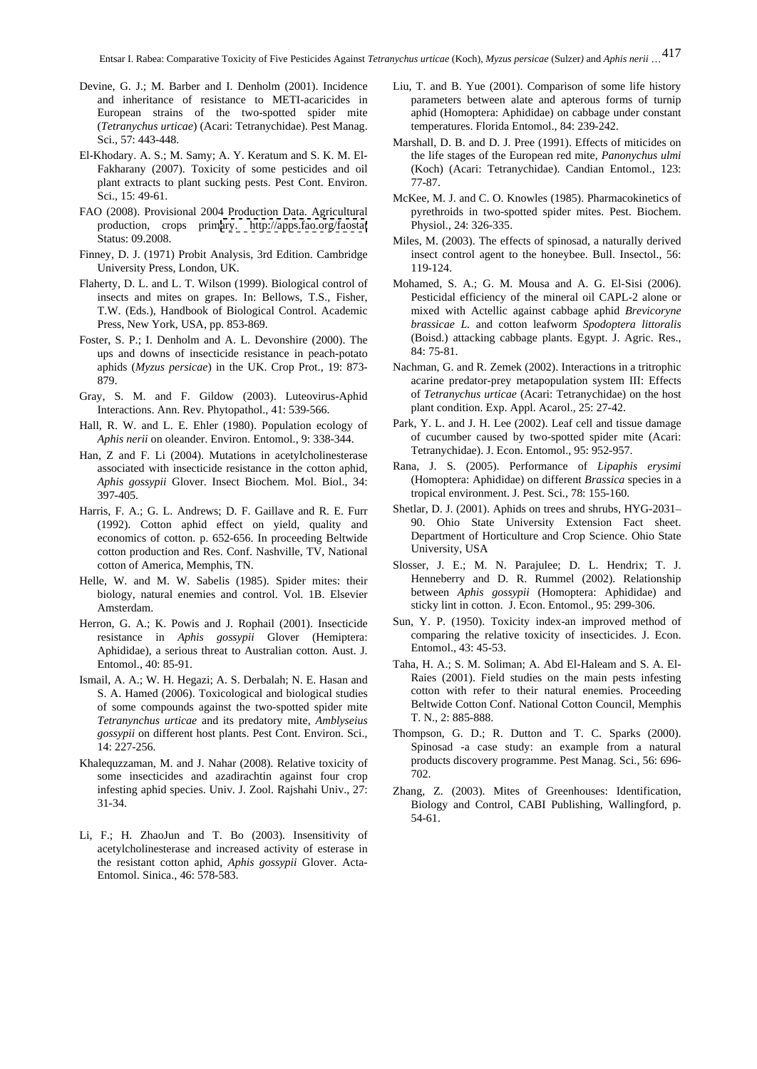- Devine, G. J.; M. Barber and I. Denholm (2001). Incidence Liu, T. and B. Yue (2001). Comparison of some life history and inheritance of resistance to METI-acaricides in parameters between alate and apterous forms of turnip (*Tetranychus urticae*) (Acari: Tetranychidae). Pest Manag. Sci., 57: 443-448.
- El-Khodary. A. S.; M. Samy; A. Y. Keratum and S. K. M. El plant extracts to plant sucking pests. Pest Cont. Environ.
- production, crops primary. <http://apps.fao.org/faostat>
- University Press, London, UK.
- 
- Foster, S. P.; I. Denholm and A. L. Devonshire (2000). The ups and downs of insecticide resistance in peach-potato aphids (*Myzus persicae*) in the UK. Crop Prot., 19: 873-<br>aphids (*Myzus persicae*) in the UK. Crop Prot.,
- Gray, S. M. and F. Gildow (2003). Luteovirus-Aphid Interactions. Ann. Rev. Phytopathol., 41: 539-566.
- Hall, R. W. and L. E. Ehler (1980). Population ecology of *Aphis nerii* on oleander. Environ. Entomol., 9: 338-344.
- Han, Z and F. Li (2004). Mutations in acetylcholinesterase associated with insecticide resistance in the cotton aphid, *Aphis gossypii* Glover. Insect Biochem. Mol. Biol., 34: 397-405.
- economics of cotton. p. 652-656. In proceeding Beltwide Department of Horticulture and Crop Science. Ohio State<br>cotton production and Res. Conf. Nashville, TV, National University, USA
- Helle, W. and M. W. Sabelis (1985). Spider mites: their biology, natural enemies and control. Vol. 1B. Elsevier Amsterdam. Manufacturer and Sticky lint in cotton. J. Econ. Entomol., 95: 299-306.
- Aphididae), a serious threat to Australian cotton. Aust. J. Entomol., 40: 85-91. Taha, H. A.; S. M. Soliman; A. Abd El-Haleam and S. A. El-
- Ismail, A. A.; W. H. Hegazi; A. S. Derbalah; N. E. Hasan and S. A. Hamed (2006). Toxicological and biological studies of some compounds against the two-spotted spider mite<br> *Tetranynchus urticae* and its predatory mite. Amplyseius T. N., 2:885-888. *Tetranynchus urticae* and its predatory mite, *Amblyseius*  gossypii on different host plants. Pest Cont. Environ. Sci., Thompson, G. D.; R. Dutton and T. C. Sparks (2000).
- Khalequzzaman, M. and J. Nahar (2008). Relative toxicity of prod<br>some insecticides and azadirachtin against four crop 702. some insecticides and azadirachtin against four crop
- Li, F.; H. ZhaoJun and T. Bo (2003). Insensitivity of acetylcholinesterase and increased activity of esterase in the resistant cotton aphid, *Aphis gossypii* Glover. Acta-
- European strains of the two-spotted spider mite aphid (Homoptera: Aphididae) on cabbage under constant parameters between alate and apterous forms of turnip temperatures. Florida Entomol., 84: 239-242.
- Fakharany (2007). Toxicity of some pesticides and oil (Koch) (Acari: Tetranychidae). Candian Entomol., 123: the life stages of the European red mite, *Panonychus ulmi* (Koch) (Acari: Tetranychidae). Candian Entomol., 123: 77-87.
- Sci., 15: 49-61. McKee, M. J. and C. O. Knowles (1985). Pharmacokinetics of FAO (2008). Provisional 2004 Production Data. Agricultural pyrethroids in two-spotted spider mites. Pest. Biochem. Physiol., 24: 326-335.
- Status: 09.2008. The effects of spinosad, a naturally derived Finney, D. J. (1971) Probit Analysis, 3rd Edition. Cambridge insect control agent to the honeybee. Bull. Insectol., 56: insect control agent to the honeybee. Bull. Insectol., 56: 119-124.
- Flaherty, D. L. and L. T. Wilson (1999). Biological control of Mohamed, S. A.; G. M. Mousa and A. G. El-Sisi (2006). insects and mites on grapes. In: Bellows, T.S., Fisher, Pesticidal efficiency of the mineral oil CAPL-2 alone or T.W. (Eds.), Handbook of Biological Control. Academic mixed with Actellic against cabbage aphid *Brevicoryne*  Press, New York, USA, pp. 853-869. *brassicae L.* and cotton leafworm *Spodoptera littoralis* Encyclose and other interest in the sinical content of the Encyclose and Comparison of the Encyclose and Comparison of the Encyclose and Encyclose and Encyclose and Encyclose and Encyclose and Encyclose and Encyclose and (Boisd.) attacking cabbage plants. Egypt. J. Agric. Res., 84: 75-81.
	- 879. acarine predator-prey metapopulation system III: Effects Nachman, G. and R. Zemek (2002). Interactions in a tritrophic acarine predator-prey metapopulation system III: Effects of *Tetranychus urticae* (Acari: Tetranychidae) on the host plant condition. Exp. Appl. Acarol., 25: 27-42.
		- Park, Y. L. and J. H. Lee (2002). Leaf cell and tissue damage of cucumber caused by two-spotted spider mite (Acari: Tetranychidae). J. Econ. Entomol., 95: 952-957.
		- Rana, J. S. (2005). Performance of *Lipaphis erysimi* (Homoptera: Aphididae) on different *Brassica* species in a tropical environment. J. Pest. Sci., 78: 155-160.
- Harris, F. A.; G. L. Andrews; D. F. Gaillave and R. E. Furr<br>(1992). Cotton aphid effect on vield quality and <br>(1992). Cotton aphid effect on vield quality and <br>(1992). Cotton aphid effect on vield quality and <br>(1992). Cott (1992). Cotton aphid effect on yield, quality and <br>economics of cotton p. 652-656. In proceeding Beltwide Department of Horticulture and Crop Science. Ohio State Shetlar, D. J. (2001). Aphids on trees and shrubs, HYG-2031 90. Ohio State University Extension Fact sheet. Department of Horticulture and Crop Science. Ohio State University, USA
	- cotton of America, Memphis, TN. Slosser, J. E.; M. N. Parajulee; D. L. Hendrix; T. J. Henneberry and D. R. Rummel (2002). Relationship between *Aphis gossypii* (Homoptera: Aphididae) and sticky lint in cotton. J. Econ. Entomol., 95: 299-306. Sun, Y. P. (1950). Toxicity index-an improved method of
- Herron, G. A.; K. Powis and J. Rophail (2001). Insecticide Sun, Y. P. (1950). Toxicity index-an improved method of resistance in *Aphis gossypii* Glover (Hemiptera: comparing the relative toxicity of insecticides. J. Econ. comparing the relative toxicity of insecticides. J. Econ. Entomol., 43: 45-53. Taha, H. A.; S. M. Soliman; A. Abd El-Haleam and S. A. El-
	- Raies (2001). Field studies on the main pests infesting cotton with refer to their natural enemies. Proceeding Beltwide Cotton Conf. National Cotton Council, Memphis
	- 14: 227-256. Spinosad -a case study: an example from a natural T. N., 2: 885-888. Thompson, G. D.; R. Dutton and T. C. Sparks (2000). products discovery programme. Pest Manag. Sci., 56: 696-
	- infesting aphid species. Univ. J. Zool. Rajshahi Univ., 27: Zhang, Z. (2003). Mites of Greenhouses: Identification,<br>31-34. **31-34.** Biology and Control, CABI Publishing, Wallingford, p. 702. Zhang, Z. (2003). Mites of Greenhouses: Identification, Biology and Control, CABI Publishing, Wallingford, p. 54-61.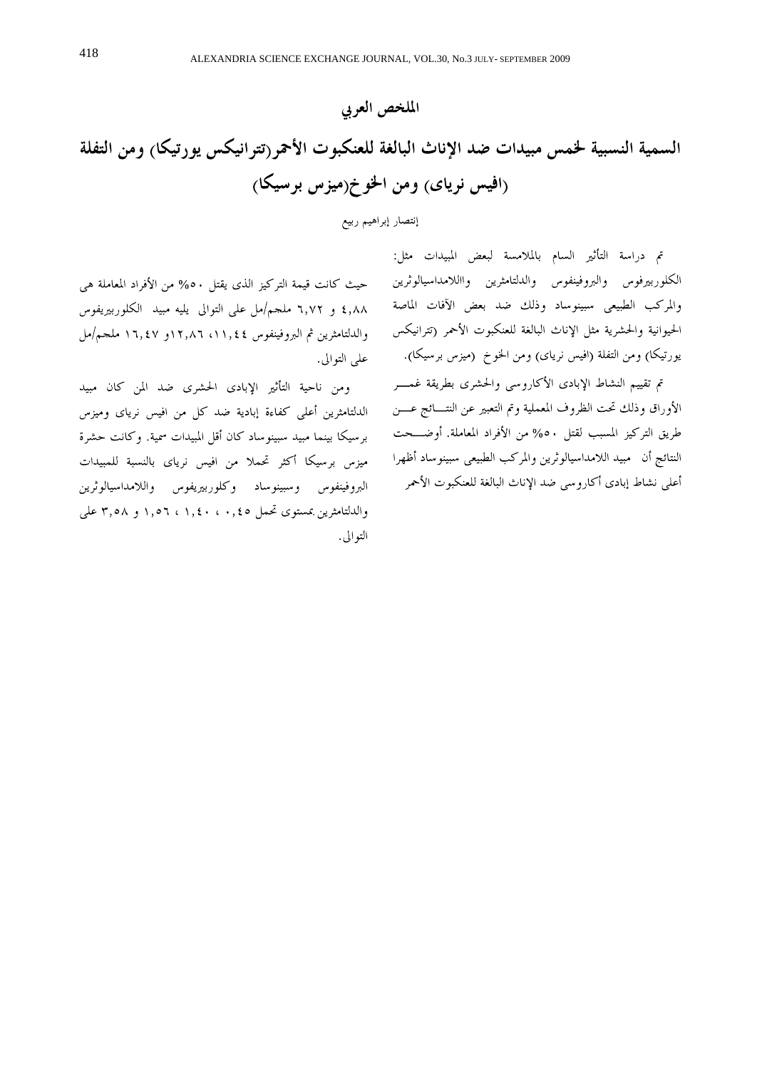# الملخص العوبي

السمية النسبية لخمس مبيدات ضد الإناث البالغة للعنكبوت الأحمر(تترانيكس يورتيكا) ومن التفلة (افیس نریای) ومن الخوخ(میزس برسیکا)

إنتصار إبراهيم ربيع

تم دراسة التأثير السام بالملامسة لبعض المبيدات مثل: الكلوربيرفوس والبروفينفوس والدلتامثرين وااللامداسيالوثرين والمركب الطبيعي سبينوساد وذلك ضد بعض الأفات الماصة الحيوانية والحشرية مثل الإناث البالغة للعنكبوت الأحمر (تترانيكس يورتيكا) ومن التفلة (افيس نرياي) ومن الخوخ (ميزس برسيكا).

تم تقييم النشاط الإبادى الأكاروسي والحشرى بطريقة غمسر الأوراق وذلك تحت الظروف المعملية وتم التعبير عن النتـــائج عــــن طريق التركيز المسبب لقتل ٥٠% من الأفراد المعاملة. أوضـــحت النتائج أن مبيد اللامداسيالوثرين والمركب الطبيعي سبينوساد أظهرا أعلى نشاط إبادي أكاروسي ضد الإناث البالغة للعنكبوت الأحمر

حيث كانت قيمة التركيز الذي يقتل ٥٠% من الأفراد المعاملة هي ٤,٨٨ و ٦,٧٢ ملجم/مل علي التوالي يليه مبيد الكلوربيريفوس والدلتامثرين ثم البروفينفوس ٤٤,١١, ١٦, ١٢, ١٩و ١٦, ١٦ ملجم/مل على التوالي.

ومن ناحية التأثير الإبادي الحشري ضد المن كان مبيد الدلتامثرين أعلى كفاءة إبادية ضد كل من افيس نرياي وميزس برسيكا بينما مبيد سبينوساد كان أقل المبيدات سمية. وكانت حشرة ميزس برسيكا أكثر تحملا من افيس نرياي بالنسبة للمبيدات البروفينفوس وسبينوساد وكلوربيريفوس واللامداسيالوثرين والدلتامثرين بمستوى تحمل ٢,٠٠، ١,٤٠، ١,٥٦ و ٣,٥٨ على التوالي.